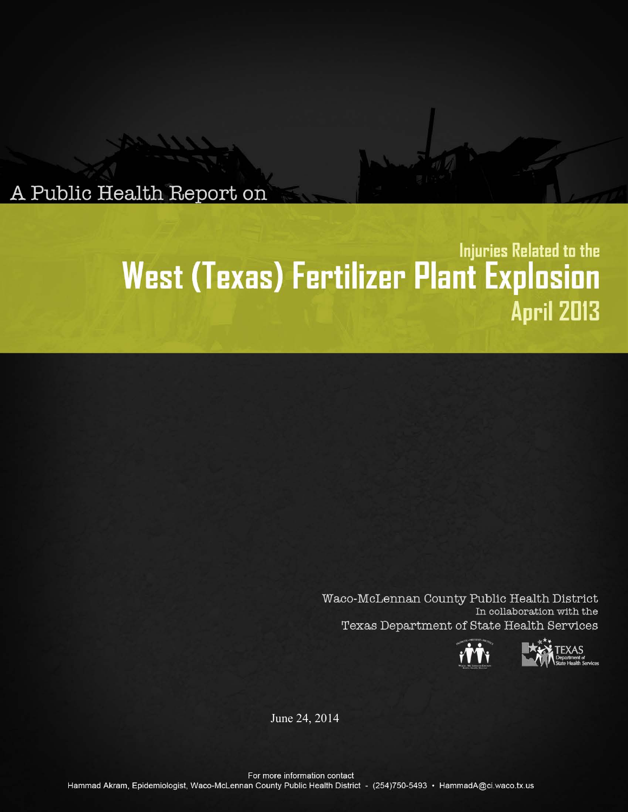A Public Health Report on

# Injuries Related to the West (Texas) Fertilizer Plant Explosion **April 2013**

Waco-McLennan County Public Health District In collaboration with the Texas Department of State Health Services





June 24, 2014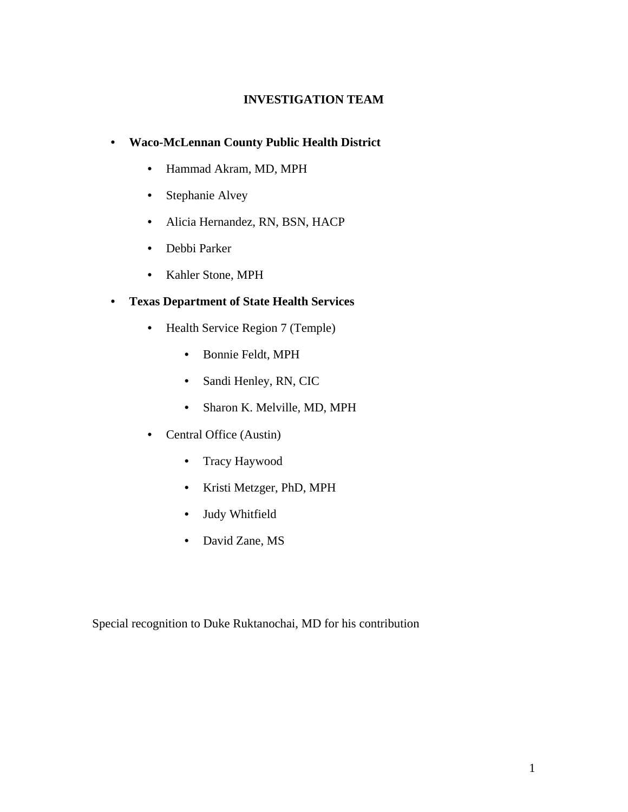## **INVESTIGATION TEAM**

# • **Waco-McLennan County Public Health District**

- Hammad Akram, MD, MPH
- Stephanie Alvey
- Alicia Hernandez, RN, BSN, HACP
- Debbi Parker
- Kahler Stone, MPH

# • **Texas Department of State Health Services**

- Health Service Region 7 (Temple)
	- Bonnie Feldt, MPH
	- Sandi Henley, RN, CIC
	- Sharon K. Melville, MD, MPH
- Central Office (Austin)
	- Tracy Haywood
	- Kristi Metzger, PhD, MPH
	- Judy Whitfield
	- David Zane, MS

Special recognition to Duke Ruktanochai, MD for his contribution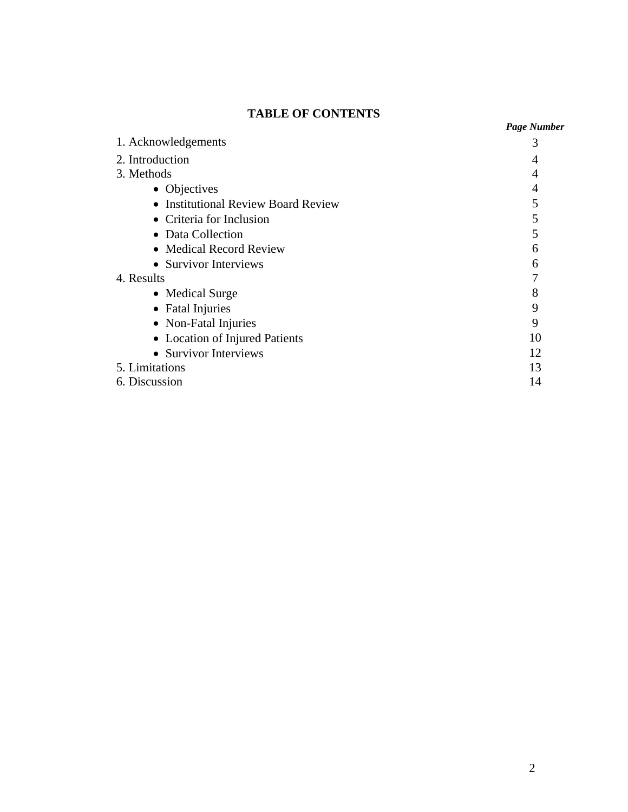# **TABLE OF CONTENTS**

| 1. Acknowledgements                 | 3  |
|-------------------------------------|----|
| 2. Introduction                     | 4  |
| 3. Methods                          | 4  |
| • Objectives                        | 4  |
| • Institutional Review Board Review | 5  |
| • Criteria for Inclusion            | 5  |
| • Data Collection                   | 5  |
| • Medical Record Review             | 6  |
| • Survivor Interviews               | 6  |
| 4. Results                          |    |
| • Medical Surge                     | 8  |
| • Fatal Injuries                    | 9  |
| • Non-Fatal Injuries                | 9  |
| • Location of Injured Patients      | 10 |
| • Survivor Interviews               | 12 |
| 5. Limitations                      | 13 |
| 6. Discussion                       | 14 |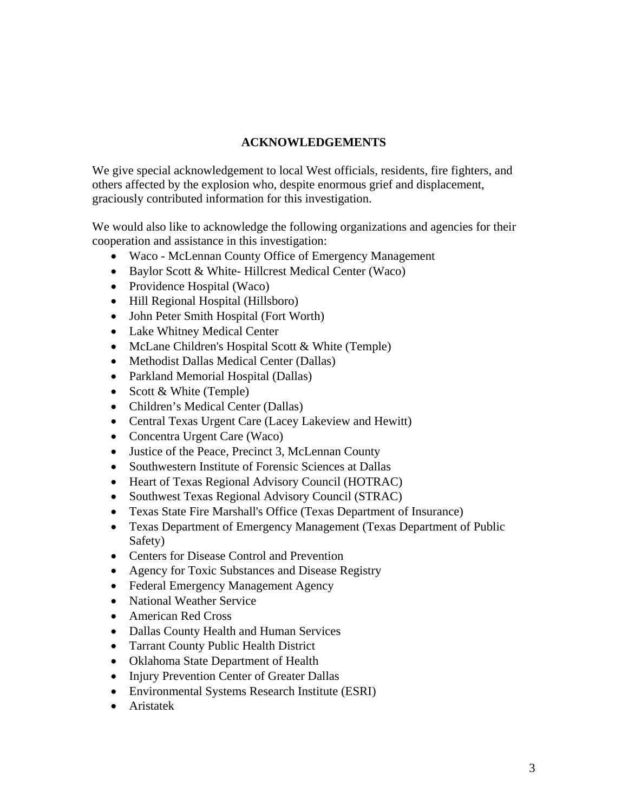## **ACKNOWLEDGEMENTS**

We give special acknowledgement to local West officials, residents, fire fighters, and others affected by the explosion who, despite enormous grief and displacement, graciously contributed information for this investigation.

We would also like to acknowledge the following organizations and agencies for their cooperation and assistance in this investigation:

- Waco McLennan County Office of Emergency Management
- Baylor Scott & White-Hillcrest Medical Center (Waco)
- Providence Hospital (Waco)
- Hill Regional Hospital (Hillsboro)
- John Peter Smith Hospital (Fort Worth)
- Lake Whitney Medical Center
- McLane Children's Hospital Scott & White (Temple)
- Methodist Dallas Medical Center (Dallas)
- Parkland Memorial Hospital (Dallas)
- Scott  $& White$  (Temple)
- Children's Medical Center (Dallas)
- Central Texas Urgent Care (Lacey Lakeview and Hewitt)
- Concentra Urgent Care (Waco)
- Justice of the Peace, Precinct 3, McLennan County
- Southwestern Institute of Forensic Sciences at Dallas
- Heart of Texas Regional Advisory Council (HOTRAC)
- Southwest Texas Regional Advisory Council (STRAC)
- Texas State Fire Marshall's Office (Texas Department of Insurance)
- Texas Department of Emergency Management (Texas Department of Public Safety)
- Centers for Disease Control and Prevention
- Agency for Toxic Substances and Disease Registry
- Federal Emergency Management Agency
- National Weather Service
- American Red Cross
- Dallas County Health and Human Services
- Tarrant County Public Health District
- Oklahoma State Department of Health
- Injury Prevention Center of Greater Dallas
- Environmental Systems Research Institute (ESRI)
- Aristatek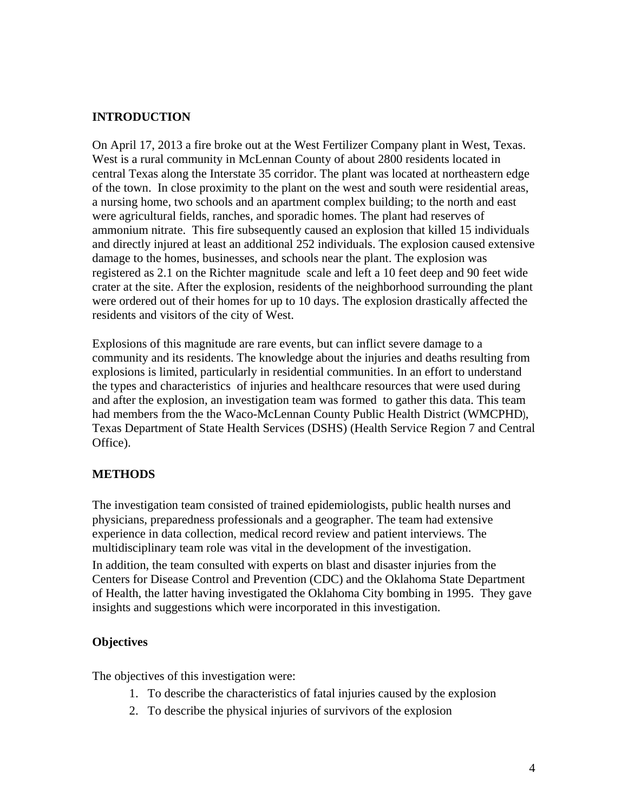## **INTRODUCTION**

On April 17, 2013 a fire broke out at the West Fertilizer Company plant in West, Texas. West is a rural community in McLennan County of about 2800 residents located in central Texas along the Interstate 35 corridor. The plant was located at northeastern edge of the town. In close proximity to the plant on the west and south were residential areas, a nursing home, two schools and an apartment complex building; to the north and east were agricultural fields, ranches, and sporadic homes. The plant had reserves of ammonium nitrate. This fire subsequently caused an explosion that killed 15 individuals and directly injured at least an additional 252 individuals. The explosion caused extensive damage to the homes, businesses, and schools near the plant. The explosion was registered as 2.1 on the Richter magnitude scale and left a 10 feet deep and 90 feet wide crater at the site. After the explosion, residents of the neighborhood surrounding the plant were ordered out of their homes for up to 10 days. The explosion drastically affected the residents and visitors of the city of West.

Explosions of this magnitude are rare events, but can inflict severe damage to a community and its residents. The knowledge about the injuries and deaths resulting from explosions is limited, particularly in residential communities. In an effort to understand the types and characteristics of injuries and healthcare resources that were used during and after the explosion, an investigation team was formed to gather this data. This team had members from the the Waco-McLennan County Public Health District (WMCPHD), Texas Department of State Health Services (DSHS) (Health Service Region 7 and Central Office).

## **METHODS**

The investigation team consisted of trained epidemiologists, public health nurses and physicians, preparedness professionals and a geographer. The team had extensive experience in data collection, medical record review and patient interviews. The multidisciplinary team role was vital in the development of the investigation.

In addition, the team consulted with experts on blast and disaster injuries from the Centers for Disease Control and Prevention (CDC) and the Oklahoma State Department of Health, the latter having investigated the Oklahoma City bombing in 1995. They gave insights and suggestions which were incorporated in this investigation.

#### **Objectives**

The objectives of this investigation were:

- 1. To describe the characteristics of fatal injuries caused by the explosion
- 2. To describe the physical injuries of survivors of the explosion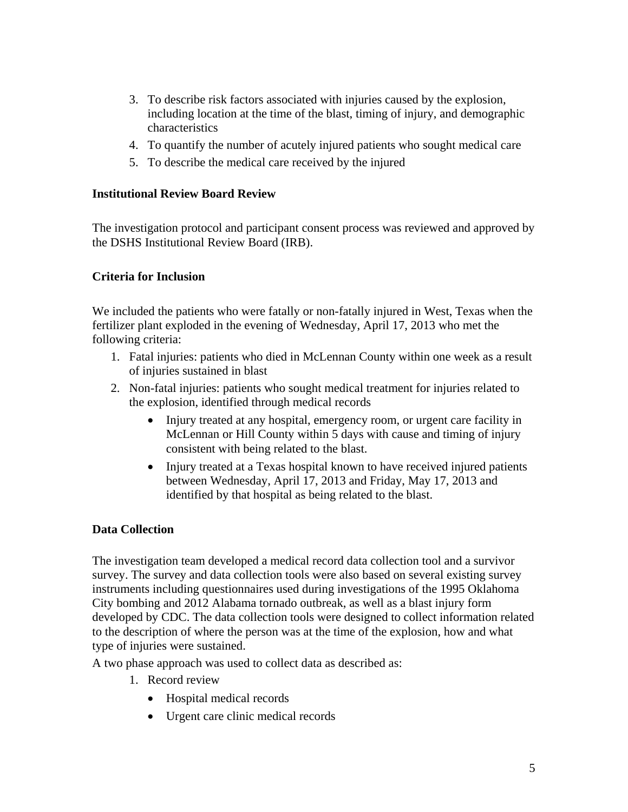- 3. To describe risk factors associated with injuries caused by the explosion, including location at the time of the blast, timing of injury, and demographic characteristics
- 4. To quantify the number of acutely injured patients who sought medical care
- 5. To describe the medical care received by the injured

#### **Institutional Review Board Review**

The investigation protocol and participant consent process was reviewed and approved by the DSHS Institutional Review Board (IRB).

## **Criteria for Inclusion**

We included the patients who were fatally or non-fatally injured in West, Texas when the fertilizer plant exploded in the evening of Wednesday, April 17, 2013 who met the following criteria:

- 1. Fatal injuries: patients who died in McLennan County within one week as a result of injuries sustained in blast
- 2. Non-fatal injuries: patients who sought medical treatment for injuries related to the explosion, identified through medical records
	- Injury treated at any hospital, emergency room, or urgent care facility in McLennan or Hill County within 5 days with cause and timing of injury consistent with being related to the blast.
	- Injury treated at a Texas hospital known to have received injured patients between Wednesday, April 17, 2013 and Friday, May 17, 2013 and identified by that hospital as being related to the blast.

## **Data Collection**

The investigation team developed a medical record data collection tool and a survivor survey. The survey and data collection tools were also based on several existing survey instruments including questionnaires used during investigations of the 1995 Oklahoma City bombing and 2012 Alabama tornado outbreak, as well as a blast injury form developed by CDC. The data collection tools were designed to collect information related to the description of where the person was at the time of the explosion, how and what type of injuries were sustained.

A two phase approach was used to collect data as described as:

- 1. Record review
	- Hospital medical records
	- Urgent care clinic medical records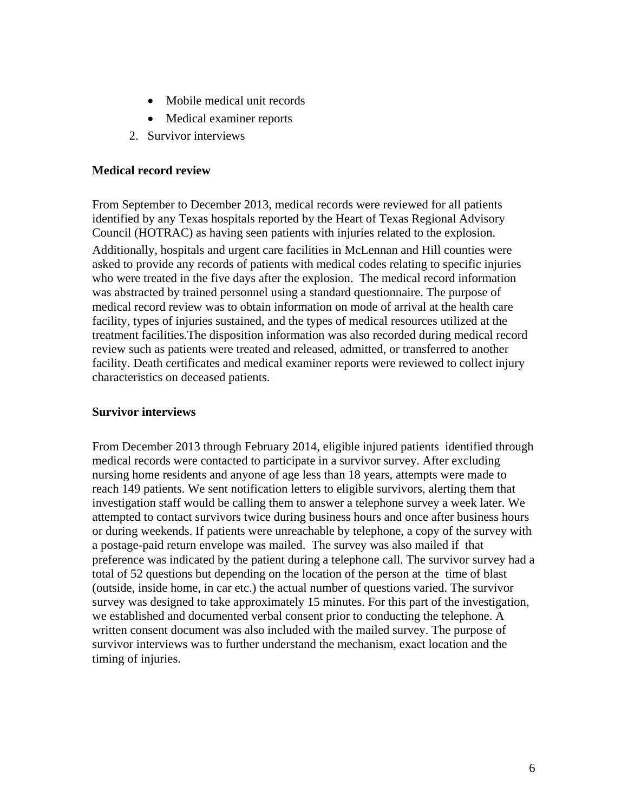- Mobile medical unit records
- Medical examiner reports
- 2. Survivor interviews

#### **Medical record review**

From September to December 2013, medical records were reviewed for all patients identified by any Texas hospitals reported by the Heart of Texas Regional Advisory Council (HOTRAC) as having seen patients with injuries related to the explosion.

Additionally, hospitals and urgent care facilities in McLennan and Hill counties were asked to provide any records of patients with medical codes relating to specific injuries who were treated in the five days after the explosion. The medical record information was abstracted by trained personnel using a standard questionnaire. The purpose of medical record review was to obtain information on mode of arrival at the health care facility, types of injuries sustained, and the types of medical resources utilized at the treatment facilities.The disposition information was also recorded during medical record review such as patients were treated and released, admitted, or transferred to another facility. Death certificates and medical examiner reports were reviewed to collect injury characteristics on deceased patients.

#### **Survivor interviews**

From December 2013 through February 2014, eligible injured patients identified through medical records were contacted to participate in a survivor survey. After excluding nursing home residents and anyone of age less than 18 years, attempts were made to reach 149 patients. We sent notification letters to eligible survivors, alerting them that investigation staff would be calling them to answer a telephone survey a week later. We attempted to contact survivors twice during business hours and once after business hours or during weekends. If patients were unreachable by telephone, a copy of the survey with a postage-paid return envelope was mailed. The survey was also mailed if that preference was indicated by the patient during a telephone call. The survivor survey had a total of 52 questions but depending on the location of the person at the time of blast (outside, inside home, in car etc.) the actual number of questions varied. The survivor survey was designed to take approximately 15 minutes. For this part of the investigation, we established and documented verbal consent prior to conducting the telephone. A written consent document was also included with the mailed survey. The purpose of survivor interviews was to further understand the mechanism, exact location and the timing of injuries.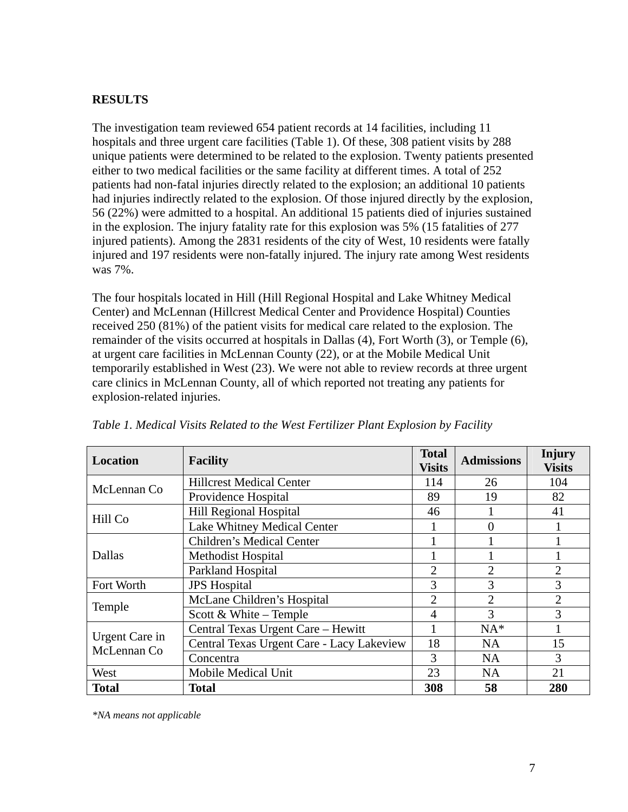## **RESULTS**

The investigation team reviewed 654 patient records at 14 facilities, including 11 hospitals and three urgent care facilities (Table 1). Of these, 308 patient visits by 288 unique patients were determined to be related to the explosion. Twenty patients presented either to two medical facilities or the same facility at different times. A total of 252 patients had non-fatal injuries directly related to the explosion; an additional 10 patients had injuries indirectly related to the explosion. Of those injured directly by the explosion, 56 (22%) were admitted to a hospital. An additional 15 patients died of injuries sustained in the explosion. The injury fatality rate for this explosion was 5% (15 fatalities of 277 injured patients). Among the 2831 residents of the city of West, 10 residents were fatally injured and 197 residents were non-fatally injured. The injury rate among West residents was 7%.

The four hospitals located in Hill (Hill Regional Hospital and Lake Whitney Medical Center) and McLennan (Hillcrest Medical Center and Providence Hospital) Counties received 250 (81%) of the patient visits for medical care related to the explosion. The remainder of the visits occurred at hospitals in Dallas (4), Fort Worth (3), or Temple (6), at urgent care facilities in McLennan County (22), or at the Mobile Medical Unit temporarily established in West (23). We were not able to review records at three urgent care clinics in McLennan County, all of which reported not treating any patients for explosion-related injuries.

| Location                      | <b>Facility</b>                           | <b>Total</b><br><b>Visits</b> | <b>Admissions</b> | <b>Injury</b><br><b>Visits</b> |
|-------------------------------|-------------------------------------------|-------------------------------|-------------------|--------------------------------|
| McLennan Co                   | <b>Hillcrest Medical Center</b>           | 114                           | 26                | 104                            |
|                               | Providence Hospital                       | 89                            | 19                | 82                             |
| Hill Co                       | <b>Hill Regional Hospital</b>             | 46                            |                   | 41                             |
|                               | Lake Whitney Medical Center               |                               | 0                 |                                |
| Dallas                        | <b>Children's Medical Center</b>          |                               |                   |                                |
|                               | <b>Methodist Hospital</b>                 |                               |                   |                                |
|                               | Parkland Hospital                         | $\overline{2}$                | $\overline{2}$    | $\overline{2}$                 |
| Fort Worth                    | <b>JPS</b> Hospital                       | 3                             | 3                 | 3                              |
| Temple                        | McLane Children's Hospital                | 2                             | $\overline{2}$    | $\overline{2}$                 |
|                               | Scott & White – Temple                    | $\overline{4}$                | 3                 | 3                              |
| Urgent Care in<br>McLennan Co | Central Texas Urgent Care - Hewitt        |                               | $NA*$             |                                |
|                               | Central Texas Urgent Care - Lacy Lakeview | 18                            | <b>NA</b>         | 15                             |
|                               | Concentra                                 | 3                             | <b>NA</b>         | 3                              |
| West                          | Mobile Medical Unit                       | 23                            | <b>NA</b>         | 21                             |
| <b>Total</b>                  | <b>Total</b>                              | 308                           | 58                | 280                            |

*Table 1. Medical Visits Related to the West Fertilizer Plant Explosion by Facility* 

*\*NA means not applicable*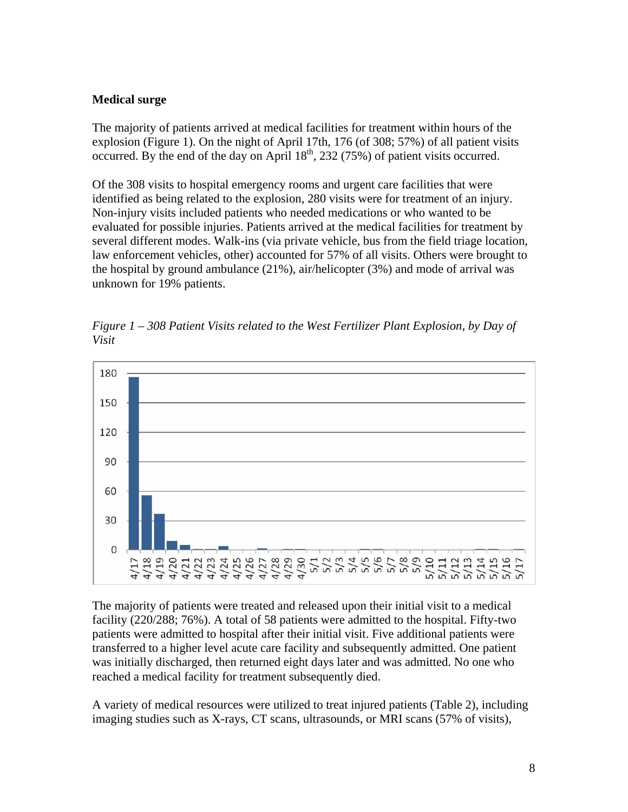## **Medical surge**

The majority of patients arrived at medical facilities for treatment within hours of the explosion (Figure 1). On the night of April 17th, 176 (of 308; 57%) of all patient visits occurred. By the end of the day on April  $18<sup>th</sup>$ , 232 (75%) of patient visits occurred.

Of the 308 visits to hospital emergency rooms and urgent care facilities that were identified as being related to the explosion, 280 visits were for treatment of an injury. Non-injury visits included patients who needed medications or who wanted to be evaluated for possible injuries. Patients arrived at the medical facilities for treatment by several different modes. Walk-ins (via private vehicle, bus from the field triage location, law enforcement vehicles, other) accounted for 57% of all visits. Others were brought to the hospital by ground ambulance  $(21\%)$ , air/helicopter  $(3\%)$  and mode of arrival was unknown for 19% patients.



*Figure 1 – 308 Patient Visits related to the West Fertilizer Plant Explosion, by Day of Visit* 

The majority of patients were treated and released upon their initial visit to a medical facility (220/288; 76%). A total of 58 patients were admitted to the hospital. Fifty-two patients were admitted to hospital after their initial visit. Five additional patients were transferred to a higher level acute care facility and subsequently admitted. One patient was initially discharged, then returned eight days later and was admitted. No one who reached a medical facility for treatment subsequently died.

A variety of medical resources were utilized to treat injured patients (Table 2), including imaging studies such as X-rays, CT scans, ultrasounds, or MRI scans (57% of visits),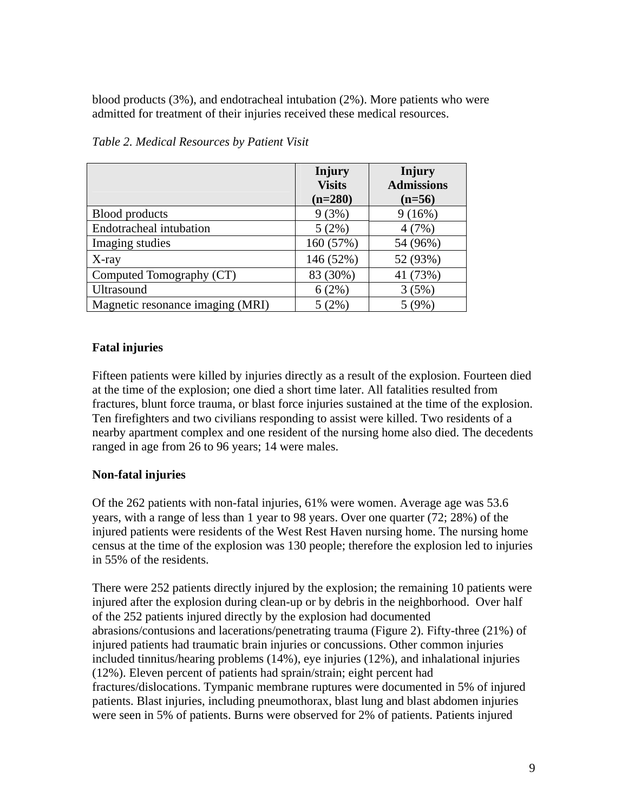blood products (3%), and endotracheal intubation (2%). More patients who were admitted for treatment of their injuries received these medical resources.

|                                  | Injury<br><b>Visits</b><br>$(n=280)$ | Injury<br><b>Admissions</b><br>$(n=56)$ |
|----------------------------------|--------------------------------------|-----------------------------------------|
| <b>Blood products</b>            | 9(3%)                                | 9(16%)                                  |
| Endotracheal intubation          | 5(2%)                                | 4(7%)                                   |
| Imaging studies                  | 160 (57%)                            | 54 (96%)                                |
| $X$ -ray                         | 146 (52%)                            | 52 (93%)                                |
| Computed Tomography (CT)         | 83 (30%)                             | 41 (73%)                                |
| Ultrasound                       | 6(2%)                                | 3(5%)                                   |
| Magnetic resonance imaging (MRI) | $5(2\%)$                             | 5(9%)                                   |

*Table 2. Medical Resources by Patient Visit* 

# **Fatal injuries**

Fifteen patients were killed by injuries directly as a result of the explosion. Fourteen died at the time of the explosion; one died a short time later. All fatalities resulted from fractures, blunt force trauma, or blast force injuries sustained at the time of the explosion. Ten firefighters and two civilians responding to assist were killed. Two residents of a nearby apartment complex and one resident of the nursing home also died. The decedents ranged in age from 26 to 96 years; 14 were males.

# **Non-fatal injuries**

Of the 262 patients with non-fatal injuries, 61% were women. Average age was 53.6 years, with a range of less than 1 year to 98 years. Over one quarter (72; 28%) of the injured patients were residents of the West Rest Haven nursing home. The nursing home census at the time of the explosion was 130 people; therefore the explosion led to injuries in 55% of the residents.

There were 252 patients directly injured by the explosion; the remaining 10 patients were injured after the explosion during clean-up or by debris in the neighborhood. Over half of the 252 patients injured directly by the explosion had documented abrasions/contusions and lacerations/penetrating trauma (Figure 2). Fifty-three (21%) of injured patients had traumatic brain injuries or concussions. Other common injuries included tinnitus/hearing problems (14%), eye injuries (12%), and inhalational injuries (12%). Eleven percent of patients had sprain/strain; eight percent had fractures/dislocations. Tympanic membrane ruptures were documented in 5% of injured patients. Blast injuries, including pneumothorax, blast lung and blast abdomen injuries were seen in 5% of patients. Burns were observed for 2% of patients. Patients injured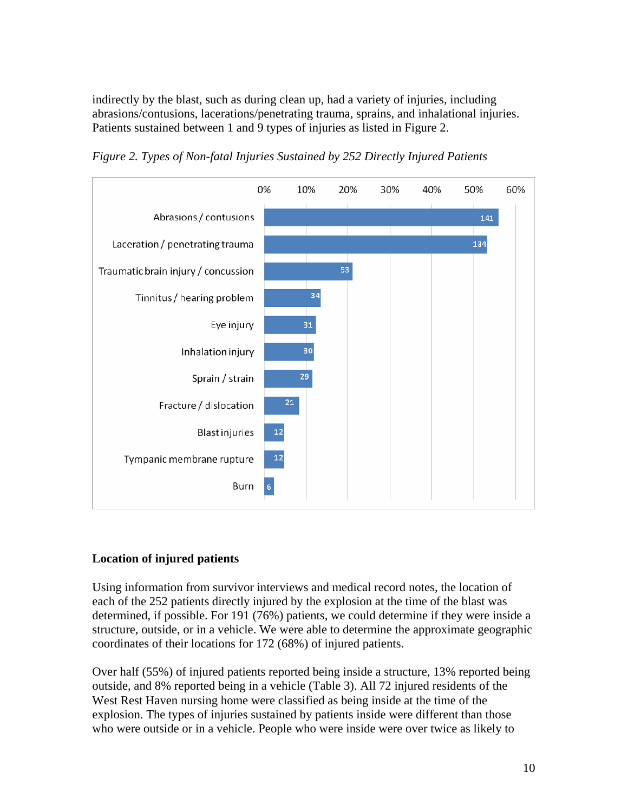indirectly by the blast, such as during clean up, had a variety of injuries, including abrasions/contusions, lacerations/penetrating trauma, sprains, and inhalational injuries. Patients sustained between 1 and 9 types of injuries as listed in Figure 2.



*Figure 2. Types of Non-fatal Injuries Sustained by 252 Directly Injured Patients* 

## **Location of injured patients**

Using information from survivor interviews and medical record notes, the location of each of the 252 patients directly injured by the explosion at the time of the blast was determined, if possible. For 191 (76%) patients, we could determine if they were inside a structure, outside, or in a vehicle. We were able to determine the approximate geographic coordinates of their locations for 172 (68%) of injured patients.

Over half (55%) of injured patients reported being inside a structure, 13% reported being outside, and 8% reported being in a vehicle (Table 3). All 72 injured residents of the West Rest Haven nursing home were classified as being inside at the time of the explosion. The types of injuries sustained by patients inside were different than those who were outside or in a vehicle. People who were inside were over twice as likely to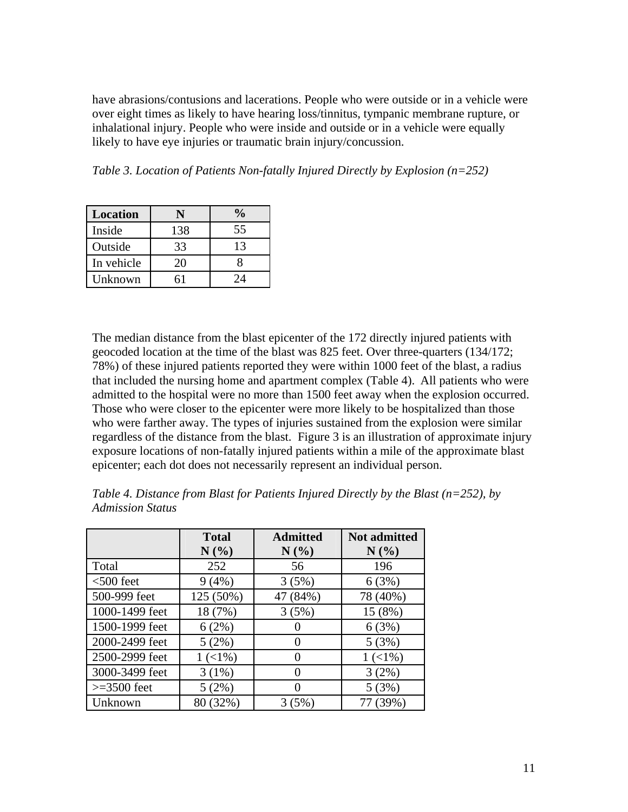have abrasions/contusions and lacerations. People who were outside or in a vehicle were over eight times as likely to have hearing loss/tinnitus, tympanic membrane rupture, or inhalational injury. People who were inside and outside or in a vehicle were equally likely to have eye injuries or traumatic brain injury/concussion.

*Table 3. Location of Patients Non-fatally Injured Directly by Explosion (n=252)* 

| <b>Location</b> |     | $\frac{1}{2}$     |
|-----------------|-----|-------------------|
| Inside          | 138 | 55                |
| Outside         | 33  | 13                |
| In vehicle      | 20  |                   |
| Unknown         |     | $\gamma_{\Delta}$ |

The median distance from the blast epicenter of the 172 directly injured patients with geocoded location at the time of the blast was 825 feet. Over three-quarters (134/172; 78%) of these injured patients reported they were within 1000 feet of the blast, a radius that included the nursing home and apartment complex (Table 4). All patients who were admitted to the hospital were no more than 1500 feet away when the explosion occurred. Those who were closer to the epicenter were more likely to be hospitalized than those who were farther away. The types of injuries sustained from the explosion were similar regardless of the distance from the blast. Figure 3 is an illustration of approximate injury exposure locations of non-fatally injured patients within a mile of the approximate blast epicenter; each dot does not necessarily represent an individual person.

|                | <b>Total</b><br>N(%) | <b>Admitted</b><br>N(%) | Not admitted<br>N(%) |
|----------------|----------------------|-------------------------|----------------------|
| Total          | 252                  | 56                      | 196                  |
| $<$ 500 feet   | 9(4%)                | 3(5%)                   | 6(3%)                |
| 500-999 feet   | 125 (50%)            | 47 (84%)                | 78 (40%)             |
| 1000-1499 feet | 18 (7%)              | 3(5%)                   | 15 (8%)              |
| 1500-1999 feet | 6(2%)                |                         | 6(3%)                |
| 2000-2499 feet | 5(2%)                | $\Omega$                | 5(3%)                |
| 2500-2999 feet | $1(1\%)$             | 0                       | $1 (< 1\%)$          |
| 3000-3499 feet | 3(1%)                | 0                       | 3(2%)                |
| $>=$ 3500 feet | 5(2%)                | 0                       | 5(3%)                |
| Unknown        | 80 (32%)             | 3(5%)                   | 77 (39%)             |

*Table 4. Distance from Blast for Patients Injured Directly by the Blast (n=252), by Admission Status*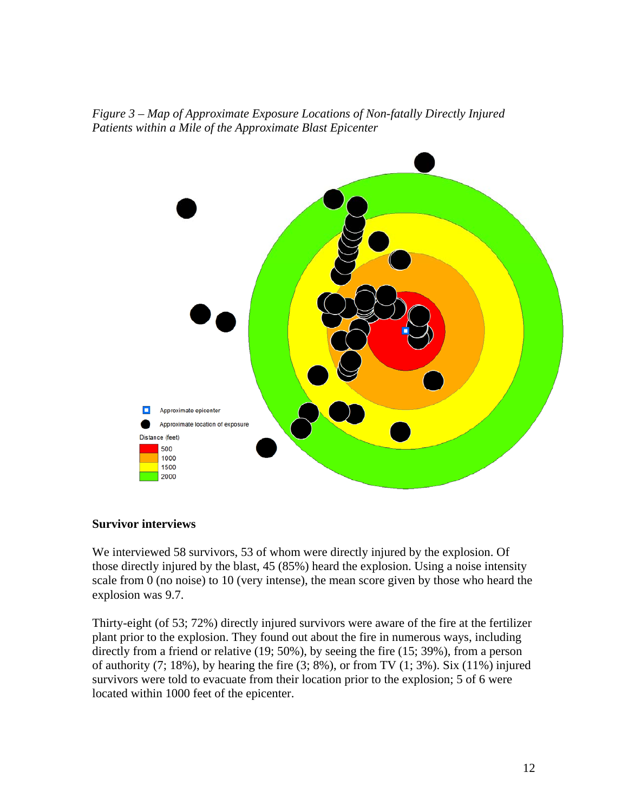*Figure 3 – Map of Approximate Exposure Locations of Non-fatally Directly Injured Patients within a Mile of the Approximate Blast Epicenter* 



#### **Survivor interviews**

We interviewed 58 survivors, 53 of whom were directly injured by the explosion. Of those directly injured by the blast, 45 (85%) heard the explosion. Using a noise intensity scale from 0 (no noise) to 10 (very intense), the mean score given by those who heard the explosion was 9.7.

Thirty-eight (of 53; 72%) directly injured survivors were aware of the fire at the fertilizer plant prior to the explosion. They found out about the fire in numerous ways, including directly from a friend or relative (19; 50%), by seeing the fire (15; 39%), from a person of authority  $(7; 18\%)$ , by hearing the fire  $(3; 8\%)$ , or from TV  $(1; 3\%)$ . Six  $(11\%)$  injured survivors were told to evacuate from their location prior to the explosion; 5 of 6 were located within 1000 feet of the epicenter.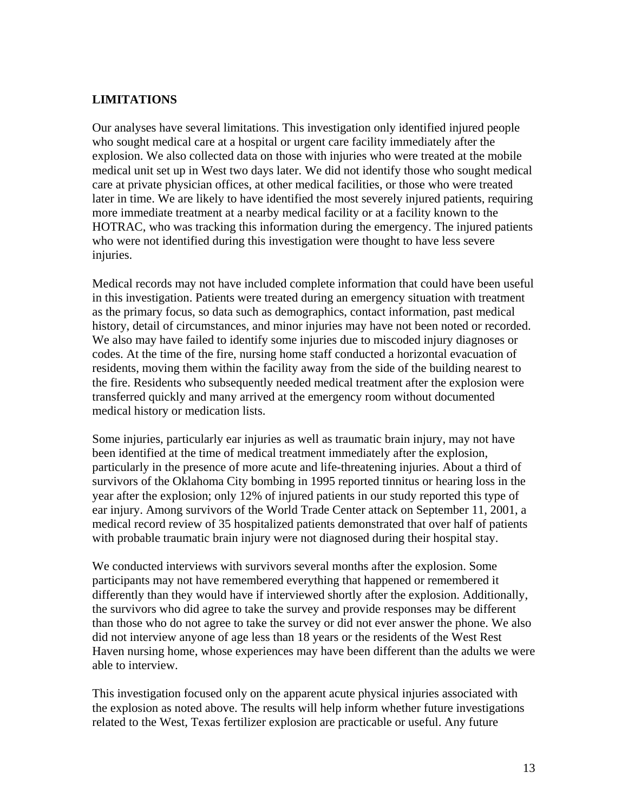## **LIMITATIONS**

Our analyses have several limitations. This investigation only identified injured people who sought medical care at a hospital or urgent care facility immediately after the explosion. We also collected data on those with injuries who were treated at the mobile medical unit set up in West two days later. We did not identify those who sought medical care at private physician offices, at other medical facilities, or those who were treated later in time. We are likely to have identified the most severely injured patients, requiring more immediate treatment at a nearby medical facility or at a facility known to the HOTRAC, who was tracking this information during the emergency. The injured patients who were not identified during this investigation were thought to have less severe injuries.

Medical records may not have included complete information that could have been useful in this investigation. Patients were treated during an emergency situation with treatment as the primary focus, so data such as demographics, contact information, past medical history, detail of circumstances, and minor injuries may have not been noted or recorded. We also may have failed to identify some injuries due to miscoded injury diagnoses or codes. At the time of the fire, nursing home staff conducted a horizontal evacuation of residents, moving them within the facility away from the side of the building nearest to the fire. Residents who subsequently needed medical treatment after the explosion were transferred quickly and many arrived at the emergency room without documented medical history or medication lists.

Some injuries, particularly ear injuries as well as traumatic brain injury, may not have been identified at the time of medical treatment immediately after the explosion, particularly in the presence of more acute and life-threatening injuries. About a third of survivors of the Oklahoma City bombing in 1995 reported tinnitus or hearing loss in the year after the explosion; only 12% of injured patients in our study reported this type of ear injury. Among survivors of the World Trade Center attack on September 11, 2001, a medical record review of 35 hospitalized patients demonstrated that over half of patients with probable traumatic brain injury were not diagnosed during their hospital stay.

We conducted interviews with survivors several months after the explosion. Some participants may not have remembered everything that happened or remembered it differently than they would have if interviewed shortly after the explosion. Additionally, the survivors who did agree to take the survey and provide responses may be different than those who do not agree to take the survey or did not ever answer the phone. We also did not interview anyone of age less than 18 years or the residents of the West Rest Haven nursing home, whose experiences may have been different than the adults we were able to interview.

This investigation focused only on the apparent acute physical injuries associated with the explosion as noted above. The results will help inform whether future investigations related to the West, Texas fertilizer explosion are practicable or useful. Any future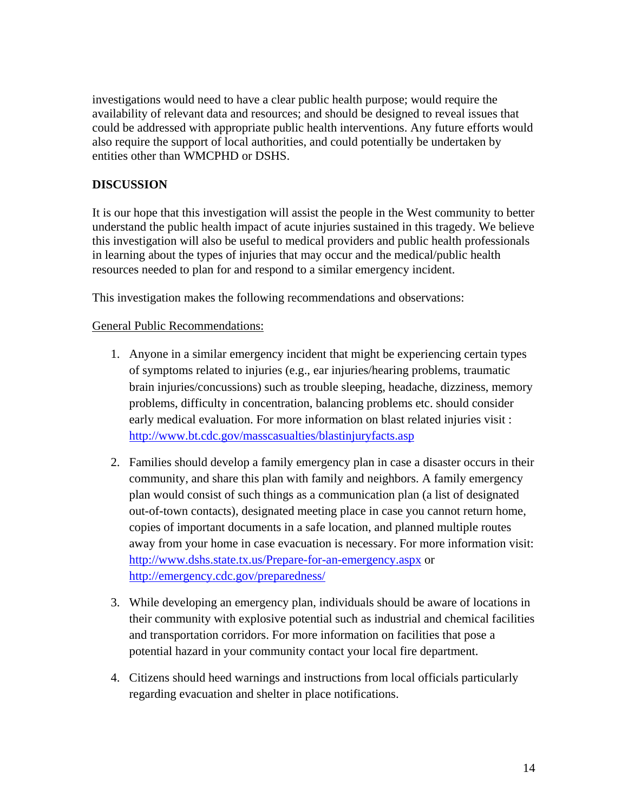investigations would need to have a clear public health purpose; would require the availability of relevant data and resources; and should be designed to reveal issues that could be addressed with appropriate public health interventions. Any future efforts would also require the support of local authorities, and could potentially be undertaken by entities other than WMCPHD or DSHS.

# **DISCUSSION**

It is our hope that this investigation will assist the people in the West community to better understand the public health impact of acute injuries sustained in this tragedy. We believe this investigation will also be useful to medical providers and public health professionals in learning about the types of injuries that may occur and the medical/public health resources needed to plan for and respond to a similar emergency incident.

This investigation makes the following recommendations and observations:

## General Public Recommendations:

- 1. Anyone in a similar emergency incident that might be experiencing certain types of symptoms related to injuries (e.g., ear injuries/hearing problems, traumatic brain injuries/concussions) such as trouble sleeping, headache, dizziness, memory problems, difficulty in concentration, balancing problems etc. should consider early medical evaluation. For more information on blast related injuries visit : http://www.bt.cdc.gov/masscasualties/blastinjuryfacts.asp
- 2. Families should develop a family emergency plan in case a disaster occurs in their community, and share this plan with family and neighbors. A family emergency plan would consist of such things as a communication plan (a list of designated out-of-town contacts), designated meeting place in case you cannot return home, copies of important documents in a safe location, and planned multiple routes away from your home in case evacuation is necessary. For more information visit: http://www.dshs.state.tx.us/Prepare-for-an-emergency.aspx or http://emergency.cdc.gov/preparedness/
- 3. While developing an emergency plan, individuals should be aware of locations in their community with explosive potential such as industrial and chemical facilities and transportation corridors. For more information on facilities that pose a potential hazard in your community contact your local fire department.
- 4. Citizens should heed warnings and instructions from local officials particularly regarding evacuation and shelter in place notifications.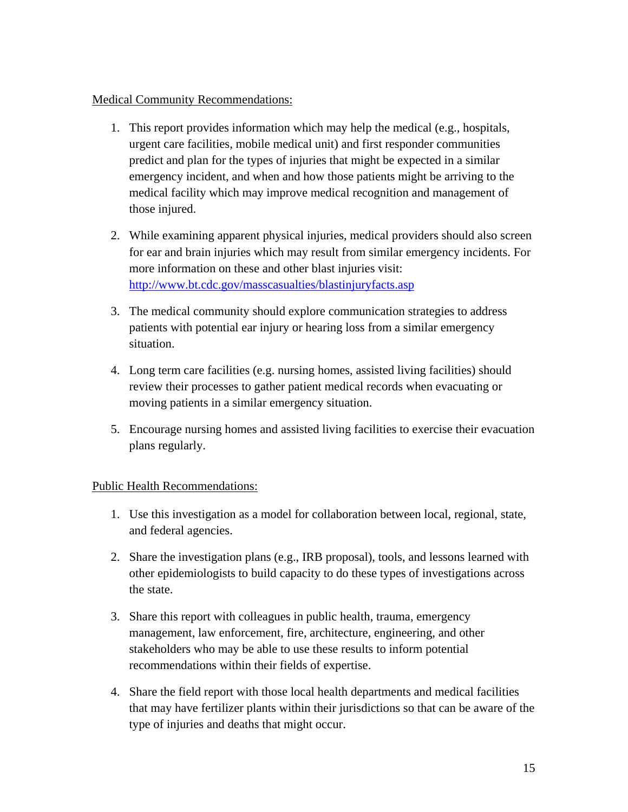## Medical Community Recommendations:

- 1. This report provides information which may help the medical (e.g., hospitals, urgent care facilities, mobile medical unit) and first responder communities predict and plan for the types of injuries that might be expected in a similar emergency incident, and when and how those patients might be arriving to the medical facility which may improve medical recognition and management of those injured.
- 2. While examining apparent physical injuries, medical providers should also screen for ear and brain injuries which may result from similar emergency incidents. For more information on these and other blast injuries visit: http://www.bt.cdc.gov/masscasualties/blastinjuryfacts.asp
- 3. The medical community should explore communication strategies to address patients with potential ear injury or hearing loss from a similar emergency situation.
- 4. Long term care facilities (e.g. nursing homes, assisted living facilities) should review their processes to gather patient medical records when evacuating or moving patients in a similar emergency situation.
- 5. Encourage nursing homes and assisted living facilities to exercise their evacuation plans regularly.

# Public Health Recommendations:

- 1. Use this investigation as a model for collaboration between local, regional, state, and federal agencies.
- 2. Share the investigation plans (e.g., IRB proposal), tools, and lessons learned with other epidemiologists to build capacity to do these types of investigations across the state.
- 3. Share this report with colleagues in public health, trauma, emergency management, law enforcement, fire, architecture, engineering, and other stakeholders who may be able to use these results to inform potential recommendations within their fields of expertise.
- 4. Share the field report with those local health departments and medical facilities that may have fertilizer plants within their jurisdictions so that can be aware of the type of injuries and deaths that might occur.